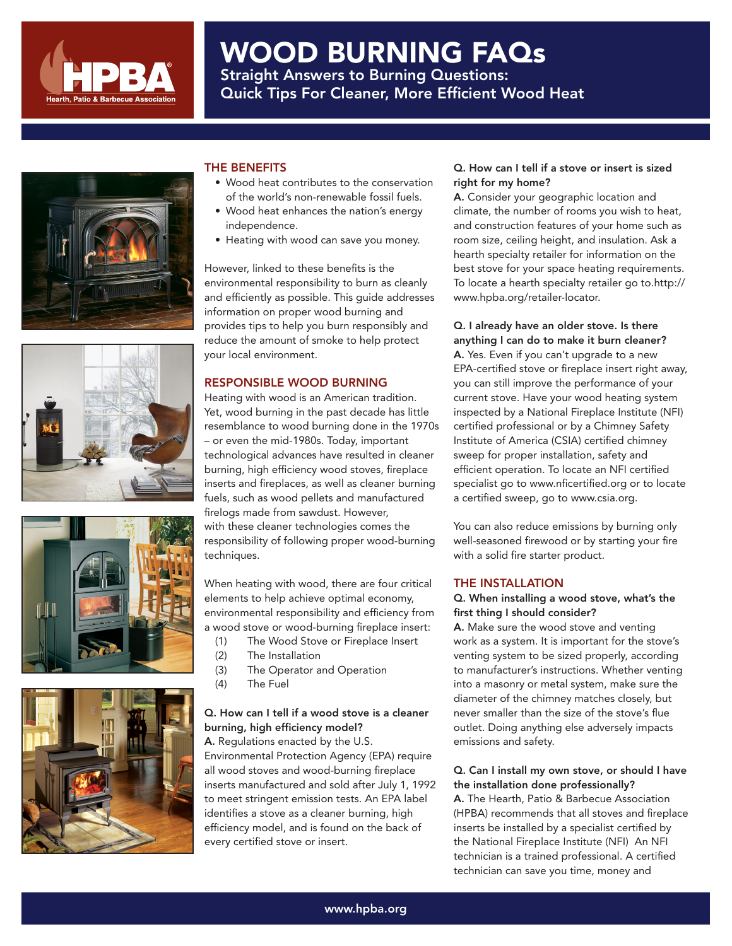

# WOOD BURNING FAQs Straight Answers to Burning Questions: Quick Tips For Cleaner, More Efficient Wood Heat









# THE BENEFITS

- Wood heat contributes to the conservation of the world's non-renewable fossil fuels.
- Wood heat enhances the nation's energy independence.
- Heating with wood can save you money.

However, linked to these benefits is the environmental responsibility to burn as cleanly and efficiently as possible. This guide addresses information on proper wood burning and provides tips to help you burn responsibly and reduce the amount of smoke to help protect your local environment.

## RESPONSIBLE WOOD BURNING

Heating with wood is an American tradition. Yet, wood burning in the past decade has little resemblance to wood burning done in the 1970s – or even the mid-1980s. Today, important technological advances have resulted in cleaner burning, high efficiency wood stoves, fireplace inserts and fireplaces, as well as cleaner burning fuels, such as wood pellets and manufactured firelogs made from sawdust. However, with these cleaner technologies comes the responsibility of following proper wood-burning techniques.

When heating with wood, there are four critical elements to help achieve optimal economy, environmental responsibility and efficiency from a wood stove or wood-burning fireplace insert:

- (1) The Wood Stove or Fireplace Insert
- (2) The Installation
- (3) The Operator and Operation
- (4) The Fuel

# Q. How can I tell if a wood stove is a cleaner burning, high efficiency model?

A. Regulations enacted by the U.S. Environmental Protection Agency (EPA) require all wood stoves and wood-burning fireplace inserts manufactured and sold after July 1, 1992 to meet stringent emission tests. An EPA label identifies a stove as a cleaner burning, high efficiency model, and is found on the back of every certified stove or insert.

# Q. How can I tell if a stove or insert is sized right for my home?

A. Consider your geographic location and climate, the number of rooms you wish to heat, and construction features of your home such as room size, ceiling height, and insulation. Ask a hearth specialty retailer for information on the best stove for your space heating requirements. To locate a hearth specialty retailer go to.http:// www.hpba.org/retailer-locator.

#### Q. I already have an older stove. Is there anything I can do to make it burn cleaner?

A. Yes. Even if you can't upgrade to a new EPA-certified stove or fireplace insert right away, you can still improve the performance of your current stove. Have your wood heating system inspected by a National Fireplace Institute (NFI) certified professional or by a Chimney Safety Institute of America (CSIA) certified chimney sweep for proper installation, safety and efficient operation. To locate an NFI certified specialist go to www.nficertified.org or to locate a certified sweep, go to www.csia.org.

You can also reduce emissions by burning only well-seasoned firewood or by starting your fire with a solid fire starter product.

# THE INSTALLATION

# Q. When installing a wood stove, what's the first thing I should consider?

A. Make sure the wood stove and venting work as a system. It is important for the stove's venting system to be sized properly, according to manufacturer's instructions. Whether venting into a masonry or metal system, make sure the diameter of the chimney matches closely, but never smaller than the size of the stove's flue outlet. Doing anything else adversely impacts emissions and safety.

#### Q. Can I install my own stove, or should I have the installation done professionally?

A. The Hearth, Patio & Barbecue Association (HPBA) recommends that all stoves and fireplace inserts be installed by a specialist certified by the National Fireplace Institute (NFI) An NFI technician is a trained professional. A certified technician can save you time, money and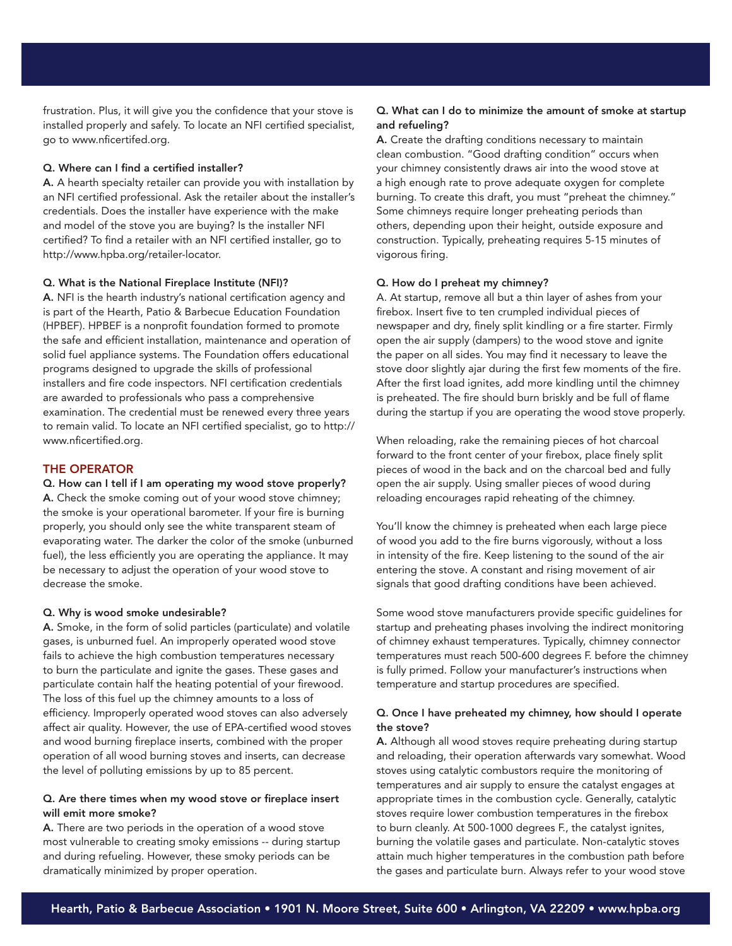frustration. Plus, it will give you the confidence that your stove is installed properly and safely. To locate an NFI certified specialist, go to www.nficertifed.org.

#### Q. Where can I find a certified installer?

A. A hearth specialty retailer can provide you with installation by an NFI certified professional. Ask the retailer about the installer's credentials. Does the installer have experience with the make and model of the stove you are buying? Is the installer NFI certified? To find a retailer with an NFI certified installer, go to http://www.hpba.org/retailer-locator.

#### Q. What is the National Fireplace Institute (NFI)?

A. NFI is the hearth industry's national certification agency and is part of the Hearth, Patio & Barbecue Education Foundation (HPBEF). HPBEF is a nonprofit foundation formed to promote the safe and efficient installation, maintenance and operation of solid fuel appliance systems. The Foundation offers educational programs designed to upgrade the skills of professional installers and fire code inspectors. NFI certification credentials are awarded to professionals who pass a comprehensive examination. The credential must be renewed every three years to remain valid. To locate an NFI certified specialist, go to http:// www.nficertified.org.

# THE OPERATOR

#### Q. How can I tell if I am operating my wood stove properly?

A. Check the smoke coming out of your wood stove chimney; the smoke is your operational barometer. If your fire is burning properly, you should only see the white transparent steam of evaporating water. The darker the color of the smoke (unburned fuel), the less efficiently you are operating the appliance. It may be necessary to adjust the operation of your wood stove to decrease the smoke.

#### Q. Why is wood smoke undesirable?

A. Smoke, in the form of solid particles (particulate) and volatile gases, is unburned fuel. An improperly operated wood stove fails to achieve the high combustion temperatures necessary to burn the particulate and ignite the gases. These gases and particulate contain half the heating potential of your firewood. The loss of this fuel up the chimney amounts to a loss of efficiency. Improperly operated wood stoves can also adversely affect air quality. However, the use of EPA-certified wood stoves and wood burning fireplace inserts, combined with the proper operation of all wood burning stoves and inserts, can decrease the level of polluting emissions by up to 85 percent.

## Q. Are there times when my wood stove or fireplace insert will emit more smoke?

A. There are two periods in the operation of a wood stove most vulnerable to creating smoky emissions -- during startup and during refueling. However, these smoky periods can be dramatically minimized by proper operation.

### Q. What can I do to minimize the amount of smoke at startup and refueling?

A. Create the drafting conditions necessary to maintain clean combustion. "Good drafting condition" occurs when your chimney consistently draws air into the wood stove at a high enough rate to prove adequate oxygen for complete burning. To create this draft, you must "preheat the chimney." Some chimneys require longer preheating periods than others, depending upon their height, outside exposure and construction. Typically, preheating requires 5-15 minutes of vigorous firing.

#### Q. How do I preheat my chimney?

A. At startup, remove all but a thin layer of ashes from your firebox. Insert five to ten crumpled individual pieces of newspaper and dry, finely split kindling or a fire starter. Firmly open the air supply (dampers) to the wood stove and ignite the paper on all sides. You may find it necessary to leave the stove door slightly ajar during the first few moments of the fire. After the first load ignites, add more kindling until the chimney is preheated. The fire should burn briskly and be full of flame during the startup if you are operating the wood stove properly.

When reloading, rake the remaining pieces of hot charcoal forward to the front center of your firebox, place finely split pieces of wood in the back and on the charcoal bed and fully open the air supply. Using smaller pieces of wood during reloading encourages rapid reheating of the chimney.

You'll know the chimney is preheated when each large piece of wood you add to the fire burns vigorously, without a loss in intensity of the fire. Keep listening to the sound of the air entering the stove. A constant and rising movement of air signals that good drafting conditions have been achieved.

Some wood stove manufacturers provide specific guidelines for startup and preheating phases involving the indirect monitoring of chimney exhaust temperatures. Typically, chimney connector temperatures must reach 500-600 degrees F. before the chimney is fully primed. Follow your manufacturer's instructions when temperature and startup procedures are specified.

#### Q. Once I have preheated my chimney, how should I operate the stove?

A. Although all wood stoves require preheating during startup and reloading, their operation afterwards vary somewhat. Wood stoves using catalytic combustors require the monitoring of temperatures and air supply to ensure the catalyst engages at appropriate times in the combustion cycle. Generally, catalytic stoves require lower combustion temperatures in the firebox to burn cleanly. At 500-1000 degrees F., the catalyst ignites, burning the volatile gases and particulate. Non-catalytic stoves attain much higher temperatures in the combustion path before the gases and particulate burn. Always refer to your wood stove